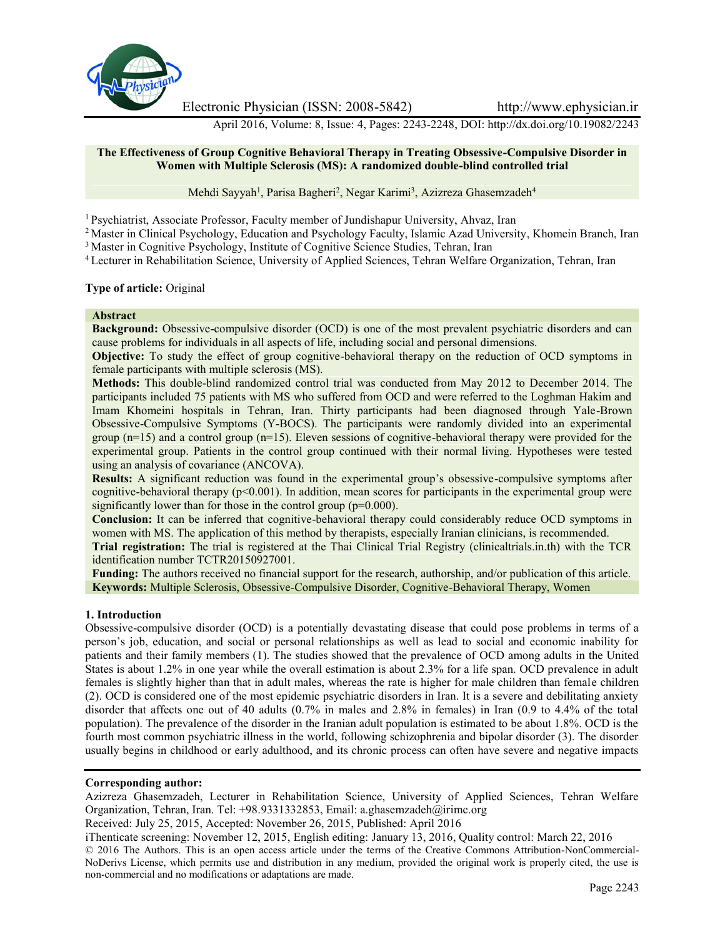

Electronic Physician (ISSN: 2008-5842) http://www.ephysician.ir

April 2016, Volume: 8, Issue: 4, Pages: 2243-2248, DOI: http://dx.doi.org/10.19082/2243

## **The Effectiveness of Group Cognitive Behavioral Therapy in Treating Obsessive-Compulsive Disorder in Women with Multiple Sclerosis (MS): A randomized double-blind controlled trial**

Mehdi Sayyah<sup>1</sup>, Parisa Bagheri<sup>2</sup>, Negar Karimi<sup>3</sup>, Azizreza Ghasemzadeh<sup>4</sup>

<sup>1</sup> Psychiatrist, Associate Professor, Faculty member of Jundishapur University, Ahvaz, Iran

<sup>2</sup> Master in Clinical Psychology, Education and Psychology Faculty, Islamic Azad University, Khomein Branch, Iran

<sup>3</sup> Master in Cognitive Psychology, Institute of Cognitive Science Studies, Tehran, Iran

<sup>4</sup> Lecturer in Rehabilitation Science, University of Applied Sciences, Tehran Welfare Organization, Tehran, Iran

## **Type of article:** Original

### **Abstract**

**Background:** Obsessive-compulsive disorder (OCD) is one of the most prevalent psychiatric disorders and can cause problems for individuals in all aspects of life, including social and personal dimensions.

**Objective:** To study the effect of group cognitive-behavioral therapy on the reduction of OCD symptoms in female participants with multiple sclerosis (MS).

**Methods:** This double-blind randomized control trial was conducted from May 2012 to December 2014. The participants included 75 patients with MS who suffered from OCD and were referred to the Loghman Hakim and Imam Khomeini hospitals in Tehran, Iran. Thirty participants had been diagnosed through Yale-Brown Obsessive-Compulsive Symptoms (Y-BOCS). The participants were randomly divided into an experimental group (n=15) and a control group (n=15). Eleven sessions of cognitive-behavioral therapy were provided for the experimental group. Patients in the control group continued with their normal living. Hypotheses were tested using an analysis of covariance (ANCOVA).

**Results:** A significant reduction was found in the experimental group's obsessive-compulsive symptoms after cognitive-behavioral therapy ( $p<0.001$ ). In addition, mean scores for participants in the experimental group were significantly lower than for those in the control group ( $p=0.000$ ).

**Conclusion:** It can be inferred that cognitive-behavioral therapy could considerably reduce OCD symptoms in women with MS. The application of this method by therapists, especially Iranian clinicians, is recommended.

**Trial registration:** The trial is registered at the Thai Clinical Trial Registry (clinicaltrials.in.th) with the TCR identification number TCTR20150927001.

**Funding:** The authors received no financial support for the research, authorship, and/or publication of this article. **Keywords:** Multiple Sclerosis, Obsessive-Compulsive Disorder, Cognitive-Behavioral Therapy, Women

## **1. Introduction**

Obsessive-compulsive disorder (OCD) is a potentially devastating disease that could pose problems in terms of a person's job, education, and social or personal relationships as well as lead to social and economic inability for patients and their family members (1). The studies showed that the prevalence of OCD among adults in the United States is about 1.2% in one year while the overall estimation is about 2.3% for a life span. OCD prevalence in adult females is slightly higher than that in adult males, whereas the rate is higher for male children than female children (2). OCD is considered one of the most epidemic psychiatric disorders in Iran. It is a severe and debilitating anxiety disorder that affects one out of 40 adults (0.7% in males and 2.8% in females) in Iran (0.9 to 4.4% of the total population). The prevalence of the disorder in the Iranian adult population is estimated to be about 1.8%. OCD is the fourth most common psychiatric illness in the world, following schizophrenia and bipolar disorder (3). The disorder usually begins in childhood or early adulthood, and its chronic process can often have severe and negative impacts

### **Corresponding author:**

Azizreza Ghasemzadeh, Lecturer in Rehabilitation Science, University of Applied Sciences, Tehran Welfare Organization, Tehran, Iran. Tel: +98.9331332853, Email: a.ghasemzadeh@irimc.org

Received: July 25, 2015, Accepted: November 26, 2015, Published: April 2016

iThenticate screening: November 12, 2015, English editing: January 13, 2016, Quality control: March 22, 2016

© 2016 The Authors. This is an open access article under the terms of the Creative Commons Attribution-NonCommercial- NoDerivs License, which permits use and distribution in any medium, provided the original work is properly cited, the use is non-commercial and no modifications or adaptations are made.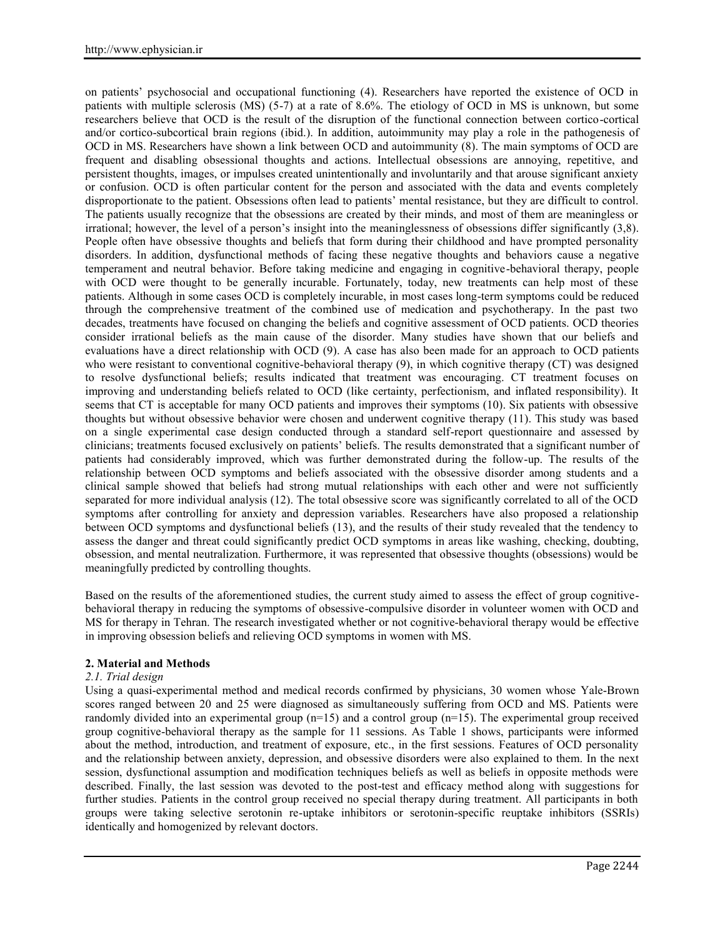on patients' psychosocial and occupational functioning (4). Researchers have reported the existence of OCD in patients with multiple sclerosis (MS) (5-7) at a rate of 8.6%. The etiology of OCD in MS is unknown, but some researchers believe that OCD is the result of the disruption of the functional connection between cortico-cortical and/or cortico-subcortical brain regions (ibid.). In addition, autoimmunity may play a role in the pathogenesis of OCD in MS. Researchers have shown a link between OCD and autoimmunity (8). The main symptoms of OCD are frequent and disabling obsessional thoughts and actions. Intellectual obsessions are annoying, repetitive, and persistent thoughts, images, or impulses created unintentionally and involuntarily and that arouse significant anxiety or confusion. OCD is often particular content for the person and associated with the data and events completely disproportionate to the patient. Obsessions often lead to patients' mental resistance, but they are difficult to control. The patients usually recognize that the obsessions are created by their minds, and most of them are meaningless or irrational; however, the level of a person's insight into the meaninglessness of obsessions differ significantly (3,8). People often have obsessive thoughts and beliefs that form during their childhood and have prompted personality disorders. In addition, dysfunctional methods of facing these negative thoughts and behaviors cause a negative temperament and neutral behavior. Before taking medicine and engaging in cognitive-behavioral therapy, people with OCD were thought to be generally incurable. Fortunately, today, new treatments can help most of these patients. Although in some cases OCD is completely incurable, in most cases long-term symptoms could be reduced through the comprehensive treatment of the combined use of medication and psychotherapy. In the past two decades, treatments have focused on changing the beliefs and cognitive assessment of OCD patients. OCD theories consider irrational beliefs as the main cause of the disorder. Many studies have shown that our beliefs and evaluations have a direct relationship with OCD (9). A case has also been made for an approach to OCD patients who were resistant to conventional cognitive-behavioral therapy (9), in which cognitive therapy (CT) was designed to resolve dysfunctional beliefs; results indicated that treatment was encouraging. CT treatment focuses on improving and understanding beliefs related to OCD (like certainty, perfectionism, and inflated responsibility). It seems that CT is acceptable for many OCD patients and improves their symptoms (10). Six patients with obsessive thoughts but without obsessive behavior were chosen and underwent cognitive therapy (11). This study was based on a single experimental case design conducted through a standard self-report questionnaire and assessed by clinicians; treatments focused exclusively on patients' beliefs. The results demonstrated that a significant number of patients had considerably improved, which was further demonstrated during the follow-up. The results of the relationship between OCD symptoms and beliefs associated with the obsessive disorder among students and a clinical sample showed that beliefs had strong mutual relationships with each other and were not sufficiently separated for more individual analysis (12). The total obsessive score was significantly correlated to all of the OCD symptoms after controlling for anxiety and depression variables. Researchers have also proposed a relationship between OCD symptoms and dysfunctional beliefs (13), and the results of their study revealed that the tendency to assess the danger and threat could significantly predict OCD symptoms in areas like washing, checking, doubting, obsession, and mental neutralization. Furthermore, it was represented that obsessive thoughts (obsessions) would be meaningfully predicted by controlling thoughts.

Based on the results of the aforementioned studies, the current study aimed to assess the effect of group cognitive behavioral therapy in reducing the symptoms of obsessive-compulsive disorder in volunteer women with OCD and MS for therapy in Tehran. The research investigated whether or not cognitive-behavioral therapy would be effective in improving obsession beliefs and relieving OCD symptoms in women with MS.

# **2. Material and Methods**

## *2.1. Trial design*

Using a quasi-experimental method and medical records confirmed by physicians, 30 women whose Yale-Brown scores ranged between 20 and 25 were diagnosed as simultaneously suffering from OCD and MS. Patients were randomly divided into an experimental group  $(n=15)$  and a control group  $(n=15)$ . The experimental group received group cognitive-behavioral therapy as the sample for 11 sessions. As Table 1 shows, participants were informed about the method, introduction, and treatment of exposure, etc., in the first sessions. Features of OCD personality and the relationship between anxiety, depression, and obsessive disorders were also explained to them. In the next session, dysfunctional assumption and modification techniques beliefs as well as beliefs in opposite methods were described. Finally, the last session was devoted to the post-test and efficacy method along with suggestions for further studies. Patients in the control group received no special therapy during treatment. All participants in both groups were taking selective serotonin re-uptake inhibitors or serotonin-specific reuptake inhibitors (SSRIs) identically and homogenized by relevant doctors.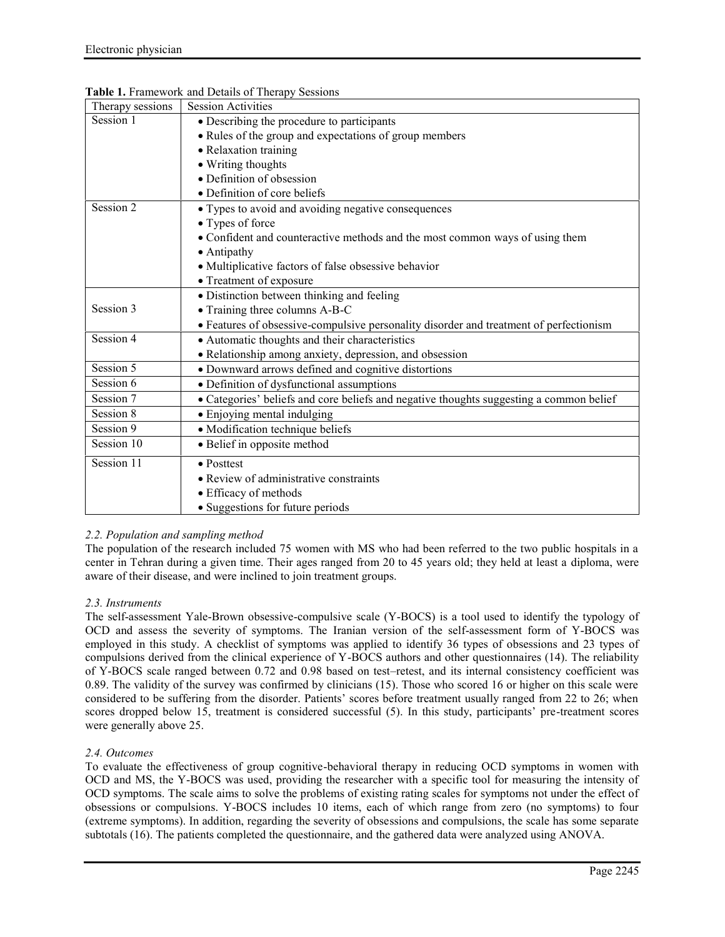| Therapy sessions | <b>Session Activities</b>                                                               |
|------------------|-----------------------------------------------------------------------------------------|
| Session 1        | • Describing the procedure to participants                                              |
|                  | • Rules of the group and expectations of group members                                  |
|                  | • Relaxation training                                                                   |
|                  | • Writing thoughts                                                                      |
|                  | • Definition of obsession                                                               |
|                  | • Definition of core beliefs                                                            |
| Session 2        | • Types to avoid and avoiding negative consequences                                     |
|                  | • Types of force                                                                        |
|                  | • Confident and counteractive methods and the most common ways of using them            |
|                  | • Antipathy                                                                             |
|                  | • Multiplicative factors of false obsessive behavior                                    |
|                  | • Treatment of exposure                                                                 |
|                  | • Distinction between thinking and feeling                                              |
| Session 3        | • Training three columns A-B-C                                                          |
|                  | • Features of obsessive-compulsive personality disorder and treatment of perfectionism  |
| Session 4        | • Automatic thoughts and their characteristics                                          |
|                  | • Relationship among anxiety, depression, and obsession                                 |
| Session 5        | · Downward arrows defined and cognitive distortions                                     |
| Session 6        | • Definition of dysfunctional assumptions                                               |
| Session 7        | • Categories' beliefs and core beliefs and negative thoughts suggesting a common belief |
| Session 8        | • Enjoying mental indulging                                                             |
| Session 9        | · Modification technique beliefs                                                        |
| Session 10       | • Belief in opposite method                                                             |
| Session 11       | • Posttest                                                                              |
|                  | • Review of administrative constraints                                                  |
|                  | • Efficacy of methods                                                                   |
|                  | • Suggestions for future periods                                                        |

## **Table 1.** Framework and Details of Therapy Sessions

## *2.2. Population and sampling method*

The population of the research included 75 women with MS who had been referred to the two public hospitals in a center in Tehran during a given time. Their ages ranged from 20 to 45 years old; they held at least a diploma, were aware of their disease, and were inclined to join treatment groups.

## *2.3. Instruments*

The self-assessment Yale-Brown obsessive-compulsive scale (Y-BOCS) is a tool used to identify the typology of OCD and assess the severity of symptoms. The Iranian version of the self-assessment form of Y-BOCS was employed in this study. A checklist of symptoms was applied to identify 36 types of obsessions and 23 types of compulsions derived from the clinical experience of Y-BOCS authors and other questionnaires (14). The reliability of Y-BOCS scale ranged between 0.72 and 0.98 based on test–retest, and its internal consistency coefficient was 0.89. The validity of the survey was confirmed by clinicians (15). Those who scored 16 or higher on this scale were considered to be suffering from the disorder. Patients' scores before treatment usually ranged from 22 to 26; when scores dropped below 15, treatment is considered successful (5). In this study, participants' pre-treatment scores were generally above 25.

## *2.4. Outcomes*

To evaluate the effectiveness of group cognitive-behavioral therapy in reducing OCD symptoms in women with OCD and MS, the Y-BOCS was used, providing the researcher with a specific tool for measuring the intensity of OCD symptoms. The scale aims to solve the problems of existing rating scales for symptoms not under the effect of obsessions or compulsions. Y-BOCS includes 10 items, each of which range from zero (no symptoms) to four (extreme symptoms). In addition, regarding the severity of obsessions and compulsions, the scale has some separate subtotals (16). The patients completed the questionnaire, and the gathered data were analyzed using ANOVA.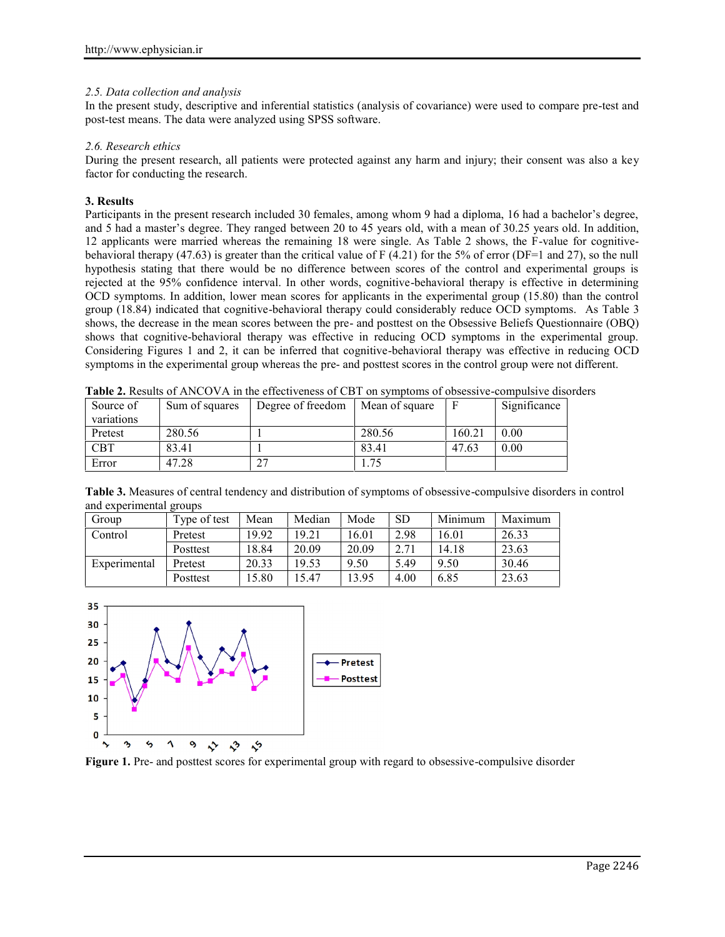## *2.5. Data collection and analysis*

In the present study, descriptive and inferential statistics (analysis of covariance) were used to compare pre-test and post-test means. The data were analyzed using SPSS software.

## *2.6. Research ethics*

During the present research, all patients were protected against any harm and injury; their consent was also a key factor for conducting the research.

## **3. Results**

Participants in the present research included 30 females, among whom 9 had a diploma, 16 had a bachelor's degree, and 5 had a master's degree. They ranged between 20 to 45 years old, with a mean of 30.25 years old. In addition, 12 applicants were married whereas the remaining 18 were single. As Table 2 shows, the F-value for cognitive behavioral therapy (47.63) is greater than the critical value of  $F(4.21)$  for the 5% of error (DF=1 and 27), so the null hypothesis stating that there would be no difference between scores of the control and experimental groups is rejected at the 95% confidence interval. In other words, cognitive-behavioral therapy is effective in determining OCD symptoms. In addition, lower mean scores for applicants in the experimental group (15.80) than the control group (18.84) indicated that cognitive-behavioral therapy could considerably reduce OCD symptoms. As Table 3 shows, the decrease in the mean scores between the pre- and posttest on the Obsessive Beliefs Questionnaire (OBQ) shows that cognitive-behavioral therapy was effective in reducing OCD symptoms in the experimental group. Considering Figures 1 and 2, it can be inferred that cognitive-behavioral therapy was effective in reducing OCD symptoms in the experimental group whereas the pre- and posttest scores in the control group were not different.

**Table 2.** Results of ANCOVA in the effectiveness of CBT on symptoms of obsessive-compulsive disorders

| Source of             | Sum of squares | Degree of freedom | Mean of square | F      | Significance |
|-----------------------|----------------|-------------------|----------------|--------|--------------|
| variations<br>Pretest | 280.56         |                   | 280.56         | 160.21 | 0.00         |
| CBT                   | 83.41          |                   | 83.41          | 47.63  | 0.00         |
| Error                 | 47.28          |                   | .75            |        |              |

**Table 3.** Measures of central tendency and distribution of symptoms of obsessive-compulsive disorders in control and experimental groups

| Group        | Type of test | Mean  | Median | Mode  | <b>SD</b> | Minimum | Maximum |
|--------------|--------------|-------|--------|-------|-----------|---------|---------|
| Control      | Pretest      | 19.92 | 19.21  | 16.01 | 2.98      | 16.01   | 26.33   |
|              | Posttest     | 18.84 | 20.09  | 20.09 | 271       | 14.18   | 23.63   |
| Experimental | Pretest      | 20.33 | 19.53  | 9.50  | 5.49      | 9.50    | 30.46   |
|              | Posttest     | 5.80  | 15.47  | 13.95 | 4.00      | 6.85    | 23.63   |



**Figure 1.** Pre- and posttest scores for experimental group with regard to obsessive-compulsive disorder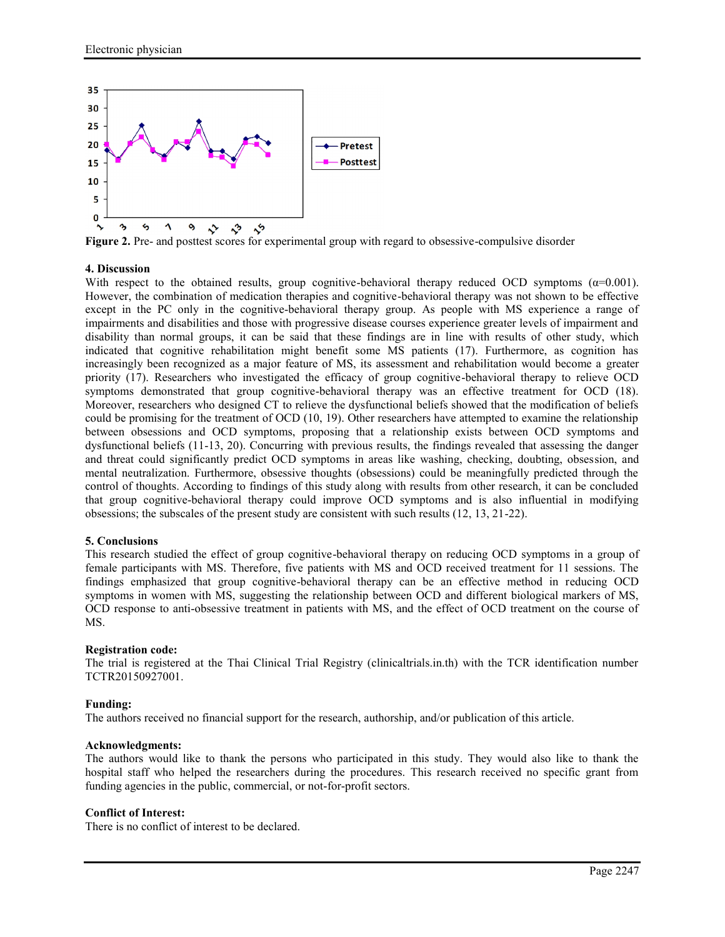

**Figure 2.** Pre- and posttest scores for experimental group with regard to obsessive-compulsive disorder

## **4. Discussion**

With respect to the obtained results, group cognitive-behavioral therapy reduced OCD symptoms  $(\alpha=0.001)$ . However, the combination of medication therapies and cognitive-behavioral therapy was not shown to be effective except in the PC only in the cognitive-behavioral therapy group. As people with MS experience a range of impairments and disabilities and those with progressive disease courses experience greater levels of impairment and disability than normal groups, it can be said that these findings are in line with results of other study, which indicated that cognitive rehabilitation might benefit some MS patients (17). Furthermore, as cognition has increasingly been recognized as a major feature of MS, its assessment and rehabilitation would become a greater priority (17). Researchers who investigated the efficacy of group cognitive-behavioral therapy to relieve OCD symptoms demonstrated that group cognitive-behavioral therapy was an effective treatment for OCD (18). Moreover, researchers who designed CT to relieve the dysfunctional beliefs showed that the modification of beliefs could be promising for the treatment of OCD (10, 19). Other researchers have attempted to examine the relationship between obsessions and OCD symptoms, proposing that a relationship exists between OCD symptoms and dysfunctional beliefs (11-13, 20). Concurring with previous results, the findings revealed that assessing the danger and threat could significantly predict OCD symptoms in areas like washing, checking, doubting, obsession, and mental neutralization. Furthermore, obsessive thoughts (obsessions) could be meaningfully predicted through the control of thoughts. According to findings of this study along with results from other research, it can be concluded that group cognitive-behavioral therapy could improve OCD symptoms and is also influential in modifying obsessions; the subscales of the present study are consistent with such results (12, 13, 21-22).

### **5. Conclusions**

This research studied the effect of group cognitive-behavioral therapy on reducing OCD symptoms in a group of female participants with MS. Therefore, five patients with MS and OCD received treatment for 11 sessions. The findings emphasized that group cognitive-behavioral therapy can be an effective method in reducing OCD symptoms in women with MS, suggesting the relationship between OCD and different biological markers of MS, OCD response to anti-obsessive treatment in patients with MS, and the effect of OCD treatment on the course of MS.

### **Registration code:**

The trial is registered at the Thai Clinical Trial Registry (clinicaltrials.in.th) with the TCR identification number TCTR20150927001.

### **Funding:**

The authors received no financial support for the research, authorship, and/or publication of this article.

### **Acknowledgments:**

The authors would like to thank the persons who participated in this study. They would also like to thank the hospital staff who helped the researchers during the procedures. This research received no specific grant from funding agencies in the public, commercial, or not-for-profit sectors.

### **Conflict of Interest:**

There is no conflict of interest to be declared.